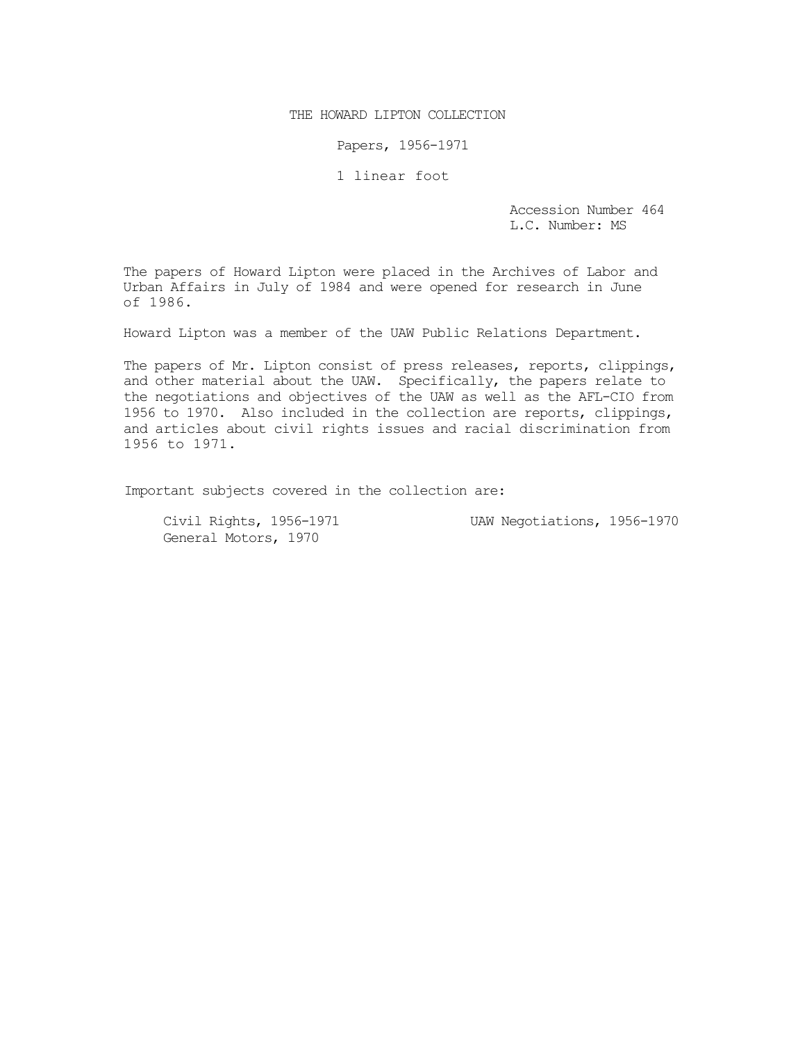THE HOWARD LIPTON COLLECTION

Papers, 1956-1971

1 linear foot

Accession Number 464 L.C. Number: MS

The papers of Howard Lipton were placed in the Archives of Labor and Urban Affairs in July of 1984 and were opened for research in June of 1986.

Howard Lipton was a member of the UAW Public Relations Department.

The papers of Mr. Lipton consist of press releases, reports, clippings, and other material about the UAW. Specifically, the papers relate to the negotiations and objectives of the UAW as well as the AFL-CIO from 1956 to 1970. Also included in the collection are reports, clippings, and articles about civil rights issues and racial discrimination from 1956 to 1971.

Important subjects covered in the collection are:

General Motors, 1970

Civil Rights, 1956-1971 UAW Negotiations, 1956-1970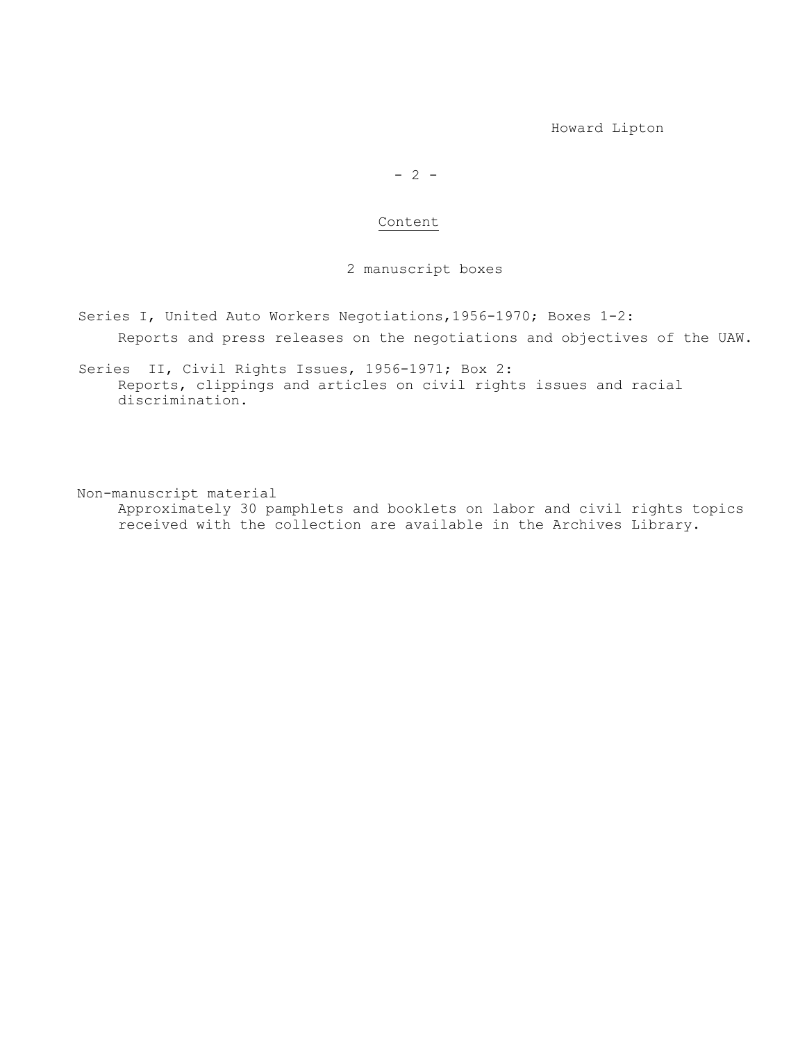Howard Lipton

## $- 2 -$

#### Content

2 manuscript boxes

Series I, United Auto Workers Negotiations,1956-1970; Boxes 1-2:

Reports and press releases on the negotiations and objectives of the UAW.

Series II, Civil Rights Issues, 1956-1971; Box 2: Reports, clippings and articles on civil rights issues and racial discrimination.

Non-manuscript material Approximately 30 pamphlets and booklets on labor and civil rights topics received with the collection are available in the Archives Library.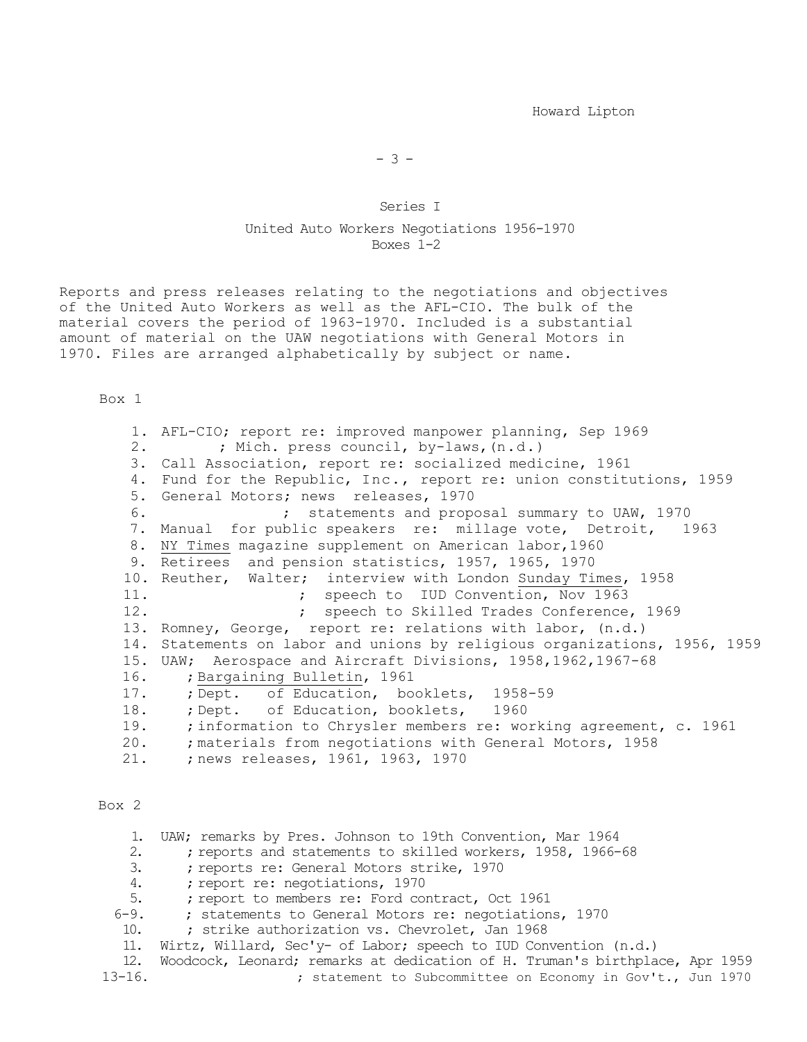Howard Lipton

## Series I United Auto Workers Negotiations 1956-1970 Boxes 1-2

Reports and press releases relating to the negotiations and objectives of the United Auto Workers as well as the AFL-CIO. The bulk of the material covers the period of 1963-1970. Included is a substantial amount of material on the UAW negotiations with General Motors in 1970. Files are arranged alphabetically by subject or name.

Box 1

1. AFL-CIO; report re: improved manpower planning, Sep 1969<br>2. <br> i Mich. press council, by-laws, (n.d.) ; Mich. press council, by-laws, (n.d.) 3. Call Association, report re: socialized medicine, 1961 4. Fund for the Republic, Inc., report re: union constitutions, 1959 5. General Motors; news releases, 1970 6. ; statements and proposal summary to UAW, 1970 7. Manual for public speakers re: millage vote, Detroit, 1963 8. NY Times magazine supplement on American labor,1960 9. Retirees and pension statistics, 1957, 1965, 1970 10. Reuther, Walter; interview with London Sunday Times, 1958<br>11. ; speech to IUD Convention, Nov 1963 11. **Example 21.** The speech to IUD Convention, Nov 1963<br>12. **Example 21. Speech to Skilled Trades Conference** ; speech to Skilled Trades Conference, 1969 13. Romney, George, report re: relations with labor, (n.d.) 14. Statements on labor and unions by religious organizations, 1956, 1959 15. UAW; Aerospace and Aircraft Divisions, 1958,1962,1967-68 16. ; Bargaining Bulletin, 1961 17. ; Dept. of Education, booklets, 1958-59<br>18. ; Dept. of Education, booklets, 1960 18. ; Dept. of Education, booklets,<br>19. ; information to Chrysler members 19. ; information to Chrysler members re: working agreement, c. 1961<br>20. : materials from negotiations with General Motors, 1958 20. ; materials from negotiations with General Motors, 1958<br>21. ; news releases, 1961, 1963, 1970 ; news releases, 1961, 1963, 1970

#### Box 2

1. UAW; remarks by Pres. Johnson to 19th Convention, Mar 1964<br>2. : reports and statements to skilled workers. 1958. 1966-2. ; reports and statements to skilled workers, 1958, 1966-68<br>3. ; reports re: General Motors strike, 1970 3. ; reports re: General Motors strike, 1970<br>4. ; report re: negotiations, 1970 4. ; report re: negotiations, 1970<br>5. ; report to members re: Ford com 5. ; report to members re: Ford contract, Oct 1961<br>6-9. ; statements to General Motors re: negotiation ; statements to General Motors re: negotiations, 1970 10. ; strike authorization vs. Chevrolet, Jan 1968 11. Wirtz, Willard, Sec'y- of Labor; speech to IUD Convention (n.d.) 12. Woodcock, Leonard; remarks at dedication of H. Truman's birthplace, Apr 1959<br>13-16. : statement to Subcommittee on Economy in Gov't.. Jun 1970 ; statement to Subcommittee on Economy in Gov't., Jun 1970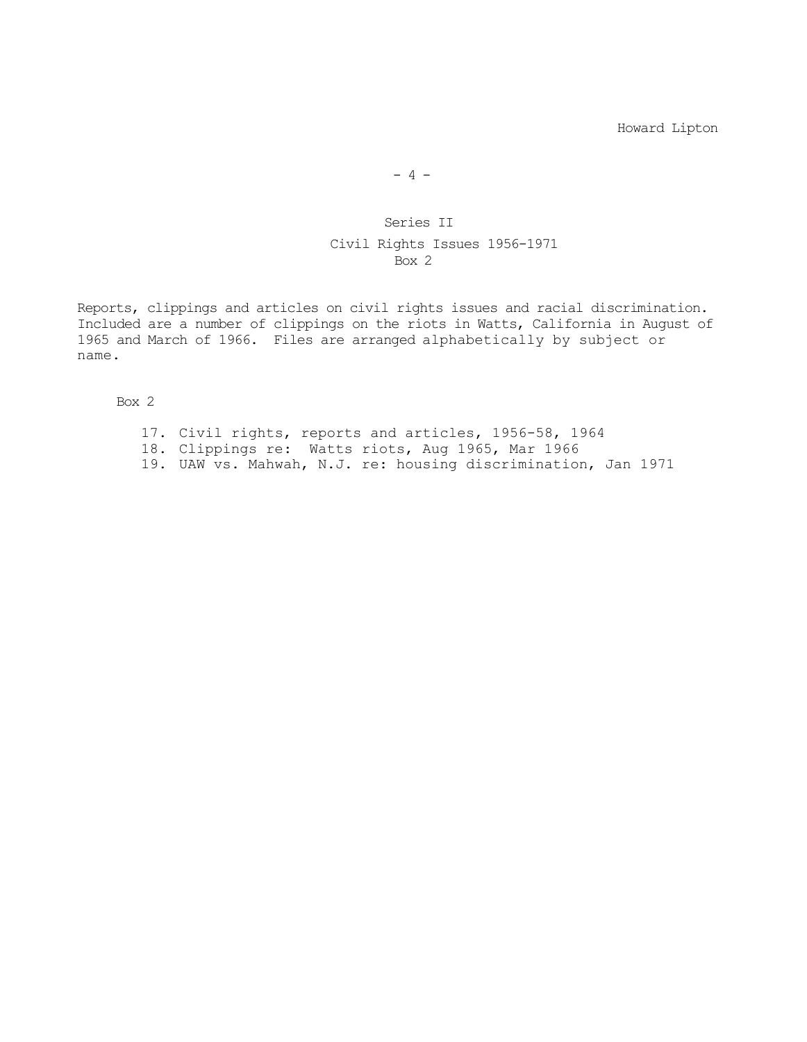Howard Lipton

 $- 4 -$ 

# Series II Civil Rights Issues 1956-1971 Box 2

Reports, clippings and articles on civil rights issues and racial discrimination. Included are a number of clippings on the riots in Watts, California in August of 1965 and March of 1966. Files are arranged alphabetically by subject or name.

Box 2

- 17. Civil rights, reports and articles, 1956-58, 1964
- 18. Clippings re: Watts riots, Aug 1965, Mar 1966
- 19. UAW vs. Mahwah, N.J. re: housing discrimination, Jan 1971